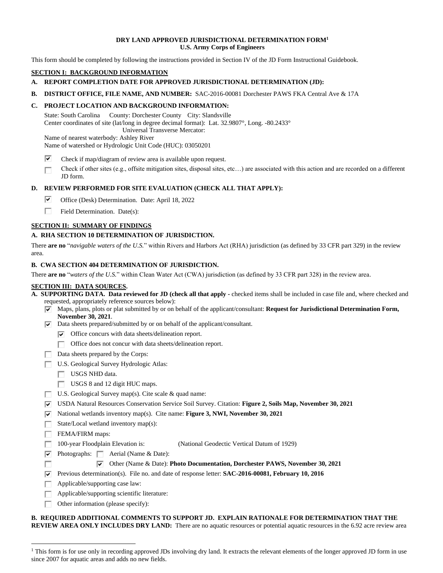#### **DRY LAND APPROVED JURISDICTIONAL DETERMINATION FORM1 U.S. Army Corps of Engineers**

This form should be completed by following the instructions provided in Section IV of the JD Form Instructional Guidebook.

# **SECTION I: BACKGROUND INFORMATION**

- **A. REPORT COMPLETION DATE FOR APPROVED JURISDICTIONAL DETERMINATION (JD):**
- **B. DISTRICT OFFICE, FILE NAME, AND NUMBER:** SAC-2016-00081 Dorchester PAWS FKA Central Ave & 17A

## **C. PROJECT LOCATION AND BACKGROUND INFORMATION:**

 Center coordinates of site (lat/long in degree decimal format): Lat. 32.9807°, Long. -80.2433° State: South Carolina County: Dorchester County City: Slandsville Universal Transverse Mercator:

 Name of nearest waterbody: Ashley River Name of watershed or Hydrologic Unit Code (HUC): 03050201

- $\overline{\mathbf{v}}$ Check if map/diagram of review area is available upon request.
- Check if other sites (e.g., offsite mitigation sites, disposal sites, etc…) are associated with this action and are recorded on a different □ JD form.

#### **D. REVIEW PERFORMED FOR SITE EVALUATION (CHECK ALL THAT APPLY):**

- Office (Desk) Determination. Date: April 18, 2022  $\overline{\triangledown}$
- Field Determination. Date(s): □

#### **SECTION II: SUMMARY OF FINDINGS**

#### **A. RHA SECTION 10 DETERMINATION OF JURISDICTION.**

 There **are no** "*navigable waters of the U.S.*" within Rivers and Harbors Act (RHA) jurisdiction (as defined by 33 CFR part 329) in the review area.

#### **B. CWA SECTION 404 DETERMINATION OF JURISDICTION.**

 There **are no** "*waters of the U.S.*" within Clean Water Act (CWA) jurisdiction (as defined by 33 CFR part 328) in the review area.

## **SECTION III: DATA SOURCES.**

|  | A. SUPPORTING DATA. Data reviewed for JD (check all that apply - checked items shall be included in case file and, where checked and |  |  |
|--|--------------------------------------------------------------------------------------------------------------------------------------|--|--|
|  | requested, appropriately reference sources below):                                                                                   |  |  |

- Pl Maps, plans, plots or plat submitted by or on behalf of the applicant/consultant: **Request for Jurisdictional Determination Form, November 30, 2021**.
- $\nabla$  Data sheets prepared/submitted by or on behalf of the applicant/consultant.
	- $\triangledown$  Office concurs with data sheets/delineation report.
	- Office does not concur with data sheets/delineation report.
- □ □ Office does not concur with de<br>Data sheets prepared by the Corps:
- □ U.S. Geological Survey Hydrologic Atlas:
	- □ USGS NHD data.
	- □ USGS 8 and 12 digit HUC maps.
- □ U.S. Geological Survey map(s). Cite scale & quad name:
- Pl USDA Natural Resources Conservation Service Soil Survey. Citation: **Figure 2, Soils Map, November 30, 2021**
- ▼ National wetlands inventory map(s). Cite name: **Figure 3, NWI, November 30, 2021**
- □ State/Local wetland inventory map(s):

□ FEMA/FIRM maps:

- $\Box$  100-year Floodplain Elevation is: (National Geodectic Vertical Datum of 1929)
- ▼ Photographs: △ Aerial (Name & Date):

# Pl Other (Name & Date): **Photo Documentation, Dorchester PAWS, November 30, 2021**

 $\overline{v}$  Previous determination(s). **Plust** Previous determination(s). File no. and date of response letter: **SAC-2016-00081, February 10, 2016** 

- □ Applicable/supporting case law:
- Applicable/supporting scientific literature:
- 口<br>ロ □ Other information (please specify):

**B. REQUIRED ADDITIONAL COMMENTS TO SUPPORT JD. EXPLAIN RATIONALE FOR DETERMINATION THAT THE REVIEW AREA ONLY INCLUDES DRY LAND:** There are no aquatic resources or potential aquatic resources in the 6.92 acre review area

<sup>&</sup>lt;sup>1</sup> This form is for use only in recording approved JDs involving dry land. It extracts the relevant elements of the longer approved JD form in use since 2007 for aquatic areas and adds no new fields.